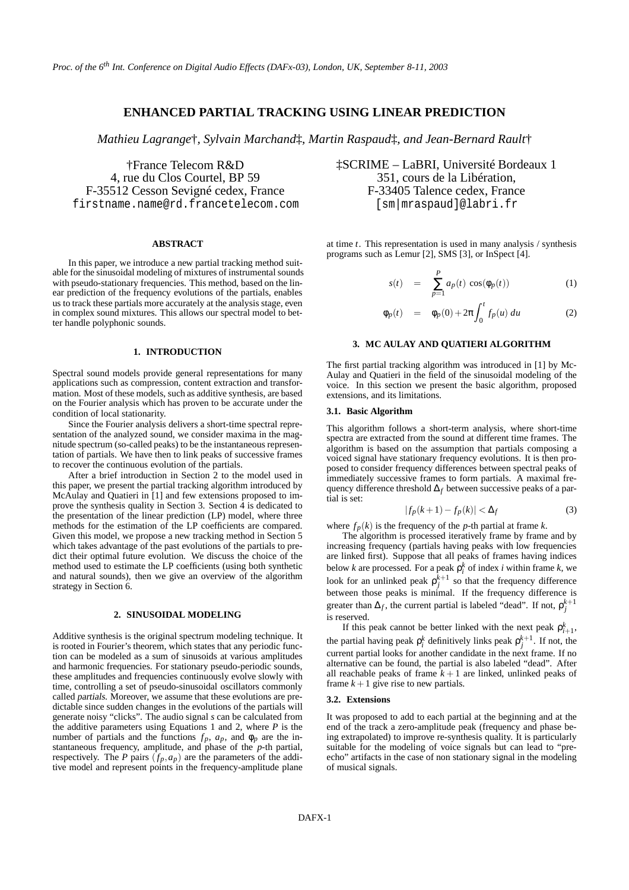# **ENHANCED PARTIAL TRACKING USING LINEAR PREDICTION**

*Mathieu Lagrange*†*, Sylvain Marchand*‡*, Martin Raspaud*‡*, and Jean-Bernard Rault*†

†France Telecom R&D 4, rue du Clos Courtel, BP 59 F-35512 Cesson Sevigné cedex, France firstname.name@rd.francetelecom.com

#### **ABSTRACT**

In this paper, we introduce a new partial tracking method suitable for the sinusoidal modeling of mixtures of instrumental sounds with pseudo-stationary frequencies. This method, based on the linear prediction of the frequency evolutions of the partials, enables us to track these partials more accurately at the analysis stage, even in complex sound mixtures. This allows our spectral model to better handle polyphonic sounds.

## **1. INTRODUCTION**

Spectral sound models provide general representations for many applications such as compression, content extraction and transformation. Most of these models, such as additive synthesis, are based on the Fourier analysis which has proven to be accurate under the condition of local stationarity.

Since the Fourier analysis delivers a short-time spectral representation of the analyzed sound, we consider maxima in the magnitude spectrum (so-called peaks) to be the instantaneous representation of partials. We have then to link peaks of successive frames to recover the continuous evolution of the partials.

After a brief introduction in Section 2 to the model used in this paper, we present the partial tracking algorithm introduced by McAulay and Quatieri in [1] and few extensions proposed to improve the synthesis quality in Section 3. Section 4 is dedicated to the presentation of the linear prediction (LP) model, where three methods for the estimation of the LP coefficients are compared. Given this model, we propose a new tracking method in Section 5 which takes advantage of the past evolutions of the partials to predict their optimal future evolution. We discuss the choice of the method used to estimate the LP coefficients (using both synthetic and natural sounds), then we give an overview of the algorithm strategy in Section 6.

## **2. SINUSOIDAL MODELING**

Additive synthesis is the original spectrum modeling technique. It is rooted in Fourier's theorem, which states that any periodic function can be modeled as a sum of sinusoids at various amplitudes and harmonic frequencies. For stationary pseudo-periodic sounds, these amplitudes and frequencies continuously evolve slowly with time, controlling a set of pseudo-sinusoidal oscillators commonly called partials. Moreover, we assume that these evolutions are predictable since sudden changes in the evolutions of the partials will generate noisy "clicks". The audio signal *s* can be calculated from the additive parameters using Equations 1 and 2, where *P* is the number of partials and the functions  $f_p$ ,  $a_p$ , and  $\phi_p$  are the instantaneous frequency, amplitude, and phase of the *p*-th partial, respectively. The *P* pairs  $(f_p, a_p)$  are the parameters of the additive model and represent points in the frequency-amplitude plane ‡SCRIME – LaBRI, Université Bordeaux 1 351, cours de la Libération, F-33405 Talence cedex, France [sm|mraspaud]@labri.fr

at time *t*. This representation is used in many analysis / synthesis programs such as Lemur [2], SMS [3], or InSpect [4].

$$
s(t) = \sum_{p=1}^{P} a_p(t) \cos(\phi_p(t)) \tag{1}
$$

$$
\phi_p(t) = \phi_p(0) + 2\pi \int_0^t f_p(u) du \qquad (2)
$$

# **3. MC AULAY AND QUATIERI ALGORITHM**

The first partial tracking algorithm was introduced in [1] by Mc-Aulay and Quatieri in the field of the sinusoidal modeling of the voice. In this section we present the basic algorithm, proposed extensions, and its limitations.

## **3.1. Basic Algorithm**

This algorithm follows a short-term analysis, where short-time spectra are extracted from the sound at different time frames. The algorithm is based on the assumption that partials composing a voiced signal have stationary frequency evolutions. It is then proposed to consider frequency differences between spectral peaks of immediately successive frames to form partials. A maximal frequency difference threshold ∆*<sup>f</sup>* between successive peaks of a partial is set:

$$
|f_p(k+1) - f_p(k)| < \Delta_f \tag{3}
$$

where  $f_p(k)$  is the frequency of the *p*-th partial at frame *k*.

The algorithm is processed iteratively frame by frame and by increasing frequency (partials having peaks with low frequencies are linked first). Suppose that all peaks of frames having indices below *k* are processed. For a peak  $\rho_i^k$  of index *i* within frame *k*, we look for an unlinked peak  $\rho_j^{k+1}$  so that the frequency difference between those peaks is minimal. If the frequency difference is greater than  $\Delta_f$ , the current partial is labeled "dead". If not,  $\rho_j^{k+1}$ is reserved.

If this peak cannot be better linked with the next peak  $\rho_{i+1}^k$ , the partial having peak  $\rho_i^k$  definitively links peak  $\rho_j^{k+1}$ . If not, the current partial looks for another candidate in the next frame. If no alternative can be found, the partial is also labeled "dead". After all reachable peaks of frame  $k+1$  are linked, unlinked peaks of frame  $k+1$  give rise to new partials.

#### **3.2. Extensions**

It was proposed to add to each partial at the beginning and at the end of the track a zero-amplitude peak (frequency and phase being extrapolated) to improve re-synthesis quality. It is particularly suitable for the modeling of voice signals but can lead to "preecho" artifacts in the case of non stationary signal in the modeling of musical signals.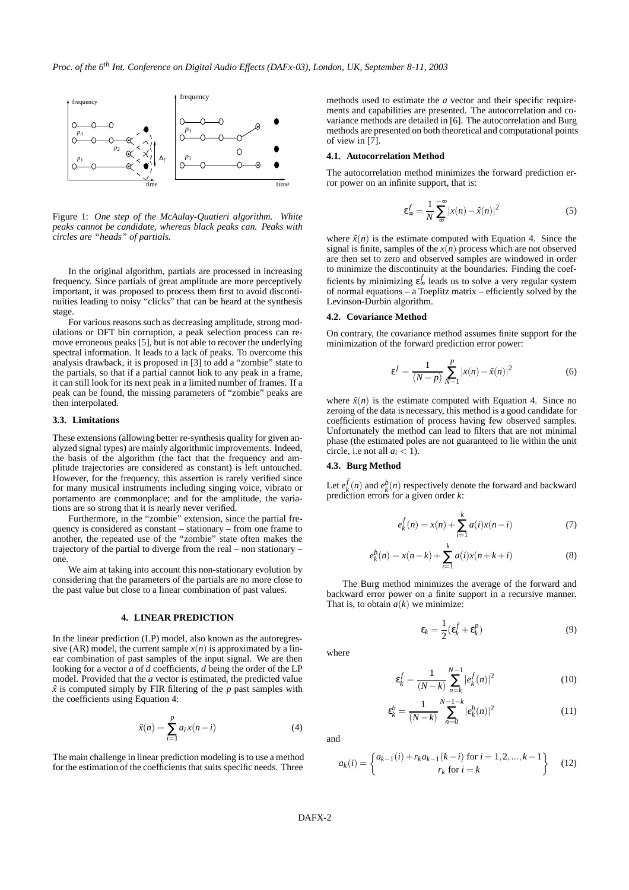

Figure 1: *One step of the McAulay-Quatieri algorithm. White peaks cannot be candidate, whereas black peaks can. Peaks with circles are "heads" of partials.*

In the original algorithm, partials are processed in increasing frequency. Since partials of great amplitude are more perceptively important, it was proposed to process them first to avoid discontinuities leading to noisy "clicks" that can be heard at the synthesis stage.

For various reasons such as decreasing amplitude, strong modulations or DFT bin corruption, a peak selection process can remove erroneous peaks [5], but is not able to recover the underlying spectral information. It leads to a lack of peaks. To overcome this analysis drawback, it is proposed in [3] to add a "zombie" state to the partials, so that if a partial cannot link to any peak in a frame, it can still look for its next peak in a limited number of frames. If a peak can be found, the missing parameters of "zombie" peaks are then interpolated.

#### **3.3. Limitations**

These extensions (allowing better re-synthesis quality for given analyzed signal types) are mainly algorithmic improvements. Indeed, the basis of the algorithm (the fact that the frequency and amplitude trajectories are considered as constant) is left untouched. However, for the frequency, this assertion is rarely verified since for many musical instruments including singing voice, vibrato or portamento are commonplace; and for the amplitude, the variations are so strong that it is nearly never verified.

Furthermore, in the "zombie" extension, since the partial frequency is considered as constant – stationary – from one frame to another, the repeated use of the "zombie" state often makes the trajectory of the partial to diverge from the real – non stationary – one.

We aim at taking into account this non-stationary evolution by considering that the parameters of the partials are no more close to the past value but close to a linear combination of past values.

#### **4. LINEAR PREDICTION**

In the linear prediction (LP) model, also known as the autoregressive (AR) model, the current sample  $x(n)$  is approximated by a linear combination of past samples of the input signal. We are then looking for a vector *a* of *d* coefficients, *d* being the order of the LP model. Provided that the *a* vector is estimated, the predicted value  $\hat{x}$  is computed simply by FIR filtering of the  $p$  past samples with the coefficients using Equation 4:

$$
\hat{x}(n) = \sum_{i=1}^{p} a_i x(n-i)
$$
\n(4)

The main challenge in linear prediction modeling is to use a method for the estimation of the coefficients that suits specific needs. Three

methods used to estimate the *a* vector and their specific requirements and capabilities are presented. The autocorrelation and covariance methods are detailed in [6]. The autocorrelation and Burg methods are presented on both theoretical and computational points of view in [7].

#### **4.1. Autocorrelation Method**

The autocorrelation method minimizes the forward prediction error power on an infinite support, that is:

$$
\varepsilon_{\infty}^f = \frac{1}{N} \sum_{\infty}^{-\infty} |x(n) - \hat{x}(n)|^2
$$
 (5)

where  $\hat{x}(n)$  is the estimate computed with Equation 4. Since the signal is finite, samples of the  $x(n)$  process which are not observed are then set to zero and observed samples are windowed in order to minimize the discontinuity at the boundaries. Finding the coefficients by minimizing  $\varepsilon_{\infty}^f$  leads us to solve a very regular system of normal equations – a Toeplitz matrix – efficiently solved by the Levinson-Durbin algorithm.

## **4.2. Covariance Method**

On contrary, the covariance method assumes finite support for the minimization of the forward prediction error power:

$$
\varepsilon^{f} = \frac{1}{(N-p)} \sum_{N-1}^{p} |x(n) - \hat{x}(n)|^{2}
$$
 (6)

where  $\hat{x}(n)$  is the estimate computed with Equation 4. Since no zeroing of the data is necessary, this method is a good candidate for coefficients estimation of process having few observed samples. Unfortunately the method can lead to filters that are not minimal phase (the estimated poles are not guaranteed to lie within the unit circle, i.e not all  $a_i < 1$ ).

## **4.3. Burg Method**

Let  $e_k^f(n)$  and  $e_k^b(n)$  respectively denote the forward and backward prediction errors for a given order *k*:

$$
e_k^f(n) = x(n) + \sum_{i=1}^k a(i)x(n-i)
$$
 (7)

$$
e_k^b(n) = x(n-k) + \sum_{i=1}^k a(i)x(n+k+i)
$$
 (8)

The Burg method minimizes the average of the forward and backward error power on a finite support in a recursive manner. That is, to obtain  $a(k)$  we minimize:

$$
\varepsilon_k = \frac{1}{2} (\varepsilon_k^f + \varepsilon_k^p) \tag{9}
$$

where

$$
\varepsilon_k^f = \frac{1}{(N-k)} \sum_{n=k}^{N-1} |e_k^f(n)|^2
$$
 (10)

$$
\varepsilon_k^b = \frac{1}{(N-k)} \sum_{n=0}^{N-1-k} |e_k^b(n)|^2
$$
 (11)

and

$$
a_k(i) = \begin{cases} a_{k-1}(i) + r_k a_{k-1}(k-i) & \text{for } i = 1, 2, ..., k-1 \\ r_k & \text{for } i = k \end{cases}
$$
 (12)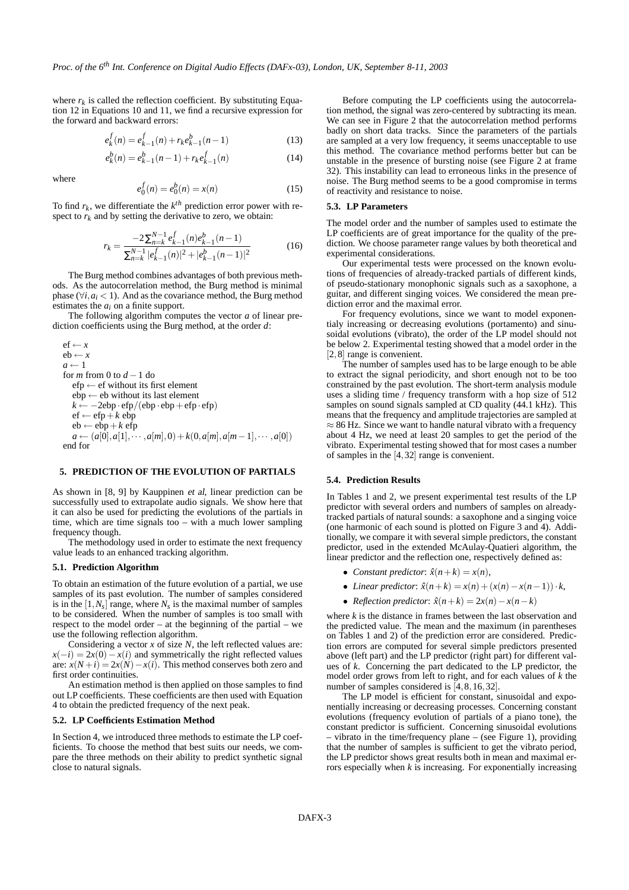where  $r_k$  is called the reflection coefficient. By substituting Equation 12 in Equations 10 and 11, we find a recursive expression for the forward and backward errors:

$$
e_k^f(n) = e_{k-1}^f(n) + r_k e_{k-1}^b(n-1)
$$
\n(13)

$$
e_k^b(n) = e_{k-1}^b(n-1) + r_k e_{k-1}^f(n)
$$
\n(14)

where

$$
e_0^f(n) = e_0^b(n) = x(n)
$$
 (15)

To find  $r_k$ , we differentiate the  $k^{th}$  prediction error power with respect to  $r_k$  and by setting the derivative to zero, we obtain:

$$
r_k = \frac{-2\sum_{n=k}^{N-1} e_{k-1}^f(n)e_{k-1}^b(n-1)}{\sum_{n=k}^{N-1} |e_{k-1}^f(n)|^2 + |e_{k-1}^b(n-1)|^2}
$$
(16)

The Burg method combines advantages of both previous methods. As the autocorrelation method, the Burg method is minimal phase ( $\forall i, a_i < 1$ ). And as the covariance method, the Burg method estimates the *a<sup>i</sup>* on a finite support.

The following algorithm computes the vector *a* of linear prediction coefficients using the Burg method, at the order *d*:

```
ef \leftarrow reb \leftarrow xa \leftarrow 1for m from 0 to d −1 do
efp \leftarrow ef without its first element
ebp \leftarrow eb without its last element
k \leftarrow -2ebp \cdot efp/(ebp \cdot ebp + efp \cdot efp)ef \leftarrow efp + k ebp
eb \leftarrow ebp+k efp
a ← (a[0], a[1], \dots, a[m], 0) + k(0, a[m], a[m-1], \dots, a[0])end for
```
## **5. PREDICTION OF THE EVOLUTION OF PARTIALS**

As shown in [8, 9] by Kauppinen et al, linear prediction can be successfully used to extrapolate audio signals. We show here that it can also be used for predicting the evolutions of the partials in time, which are time signals too – with a much lower sampling frequency though.

The methodology used in order to estimate the next frequency value leads to an enhanced tracking algorithm.

#### **5.1. Prediction Algorithm**

To obtain an estimation of the future evolution of a partial, we use samples of its past evolution. The number of samples considered is in the  $[1, N_s]$  range, where  $N_s$  is the maximal number of samples to be considered. When the number of samples is too small with respect to the model order – at the beginning of the partial – we use the following reflection algorithm.

Considering a vector  $x$  of size  $N$ , the left reflected values are:  $x(-i) = 2x(0) - x(i)$  and symmetrically the right reflected values are:  $\dot{x}(N+i) = 2x(N) - x(i)$ . This method conserves both zero and first order continuities.

An estimation method is then applied on those samples to find out LP coefficients. These coefficients are then used with Equation 4 to obtain the predicted frequency of the next peak.

#### **5.2. LP Coefficients Estimation Method**

In Section 4, we introduced three methods to estimate the LP coefficients. To choose the method that best suits our needs, we compare the three methods on their ability to predict synthetic signal close to natural signals.

Before computing the LP coefficients using the autocorrelation method, the signal was zero-centered by subtracting its mean. We can see in Figure 2 that the autocorrelation method performs badly on short data tracks. Since the parameters of the partials are sampled at a very low frequency, it seems unacceptable to use this method. The covariance method performs better but can be unstable in the presence of bursting noise (see Figure 2 at frame 32). This instability can lead to erroneous links in the presence of noise. The Burg method seems to be a good compromise in terms of reactivity and resistance to noise.

## **5.3. LP Parameters**

The model order and the number of samples used to estimate the LP coefficients are of great importance for the quality of the prediction. We choose parameter range values by both theoretical and experimental considerations.

Our experimental tests were processed on the known evolutions of frequencies of already-tracked partials of different kinds, of pseudo-stationary monophonic signals such as a saxophone, a guitar, and different singing voices. We considered the mean prediction error and the maximal error.

For frequency evolutions, since we want to model exponentialy increasing or decreasing evolutions (portamento) and sinusoidal evolutions (vibrato), the order of the LP model should not be below 2. Experimental testing showed that a model order in the [2,8] range is convenient.

The number of samples used has to be large enough to be able to extract the signal periodicity, and short enough not to be too constrained by the past evolution. The short-term analysis module uses a sliding time / frequency transform with a hop size of 512 samples on sound signals sampled at CD quality (44.1 kHz). This means that the frequency and amplitude trajectories are sampled at  $\approx$  86 Hz. Since we want to handle natural vibrato with a frequency about 4 Hz, we need at least 20 samples to get the period of the vibrato. Experimental testing showed that for most cases a number of samples in the [4,32] range is convenient.

## **5.4. Prediction Results**

In Tables 1 and 2, we present experimental test results of the LP predictor with several orders and numbers of samples on alreadytracked partials of natural sounds: a saxophone and a singing voice (one harmonic of each sound is plotted on Figure 3 and 4). Additionally, we compare it with several simple predictors, the constant predictor, used in the extended McAulay-Quatieri algorithm, the linear predictor and the reflection one, respectively defined as:

- *Constant predictor:*  $\hat{x}(n+k) = x(n)$ ,
- *Linear predictor:*  $\hat{x}(n+k) = x(n) + (x(n) x(n-1)) \cdot k$ ,
- *Reflection predictor*:  $\hat{x}(n+k) = 2x(n) x(n-k)$

where *k* is the distance in frames between the last observation and the predicted value. The mean and the maximum (in parentheses on Tables 1 and 2) of the prediction error are considered. Prediction errors are computed for several simple predictors presented above (left part) and the LP predictor (right part) for different values of *k*. Concerning the part dedicated to the LP predictor, the model order grows from left to right, and for each values of *k* the number of samples considered is [4, 8, 16, 32].

The LP model is efficient for constant, sinusoidal and exponentially increasing or decreasing processes. Concerning constant evolutions (frequency evolution of partials of a piano tone), the constant predictor is sufficient. Concerning sinusoidal evolutions – vibrato in the time/frequency plane – (see Figure 1), providing that the number of samples is sufficient to get the vibrato period, the LP predictor shows great results both in mean and maximal errors especially when *k* is increasing. For exponentially increasing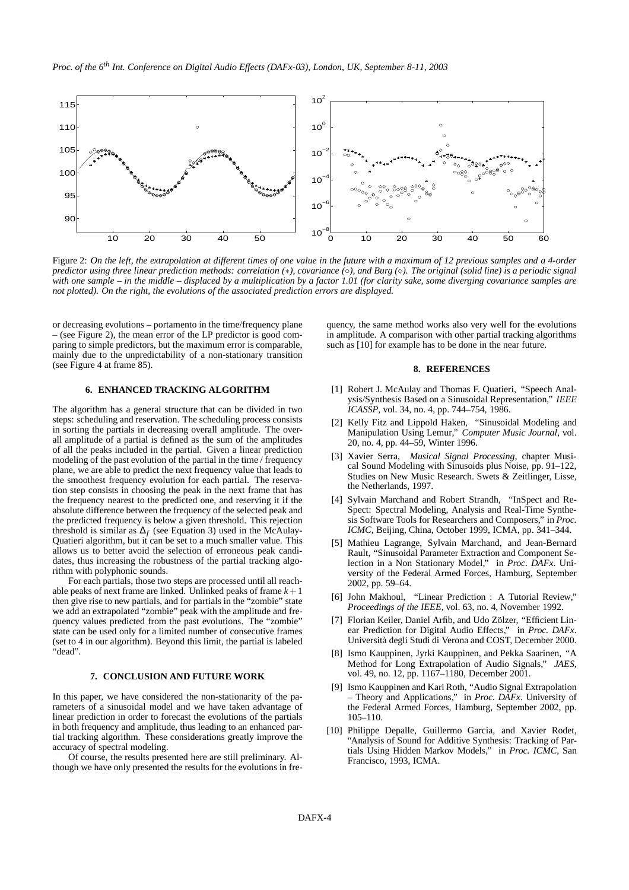

Figure 2: On the left, the extrapolation at different times of one value in the future with a maximum of 12 previous samples and a 4-order predictor using three linear prediction methods: correlation  $(*)$ , covariance  $(\circ)$ , and Burg  $(\circ)$ . The original (solid line) is a periodic signal with one sample – in the middle – displaced by a multiplication by a factor 1.01 (for clarity sake, some diverging covariance samples are *not plotted). On the right, the evolutions of the associated prediction errors are displayed.*

or decreasing evolutions – portamento in the time/frequency plane – (see Figure 2), the mean error of the LP predictor is good comparing to simple predictors, but the maximum error is comparable, mainly due to the unpredictability of a non-stationary transition (see Figure 4 at frame 85).

## **6. ENHANCED TRACKING ALGORITHM**

The algorithm has a general structure that can be divided in two steps: scheduling and reservation. The scheduling process consists in sorting the partials in decreasing overall amplitude. The overall amplitude of a partial is defined as the sum of the amplitudes of all the peaks included in the partial. Given a linear prediction modeling of the past evolution of the partial in the time  $\ell$  frequency plane, we are able to predict the next frequency value that leads to the smoothest frequency evolution for each partial. The reservation step consists in choosing the peak in the next frame that has the frequency nearest to the predicted one, and reserving it if the absolute difference between the frequency of the selected peak and the predicted frequency is below a given threshold. This rejection threshold is similar as  $\Delta_f$  (see Equation 3) used in the McAulay-Quatieri algorithm, but it can be set to a much smaller value. This allows us to better avoid the selection of erroneous peak candidates, thus increasing the robustness of the partial tracking algorithm with polyphonic sounds.

For each partials, those two steps are processed until all reachable peaks of next frame are linked. Unlinked peaks of frame  $k+1$ then give rise to new partials, and for partials in the "zombie" state we add an extrapolated "zombie" peak with the amplitude and frequency values predicted from the past evolutions. The "zombie" state can be used only for a limited number of consecutive frames (set to 4 in our algorithm). Beyond this limit, the partial is labeled "dead".

### **7. CONCLUSION AND FUTURE WORK**

In this paper, we have considered the non-stationarity of the parameters of a sinusoidal model and we have taken advantage of linear prediction in order to forecast the evolutions of the partials in both frequency and amplitude, thus leading to an enhanced partial tracking algorithm. These considerations greatly improve the accuracy of spectral modeling.

Of course, the results presented here are still preliminary. Although we have only presented the results for the evolutions in frequency, the same method works also very well for the evolutions in amplitude. A comparison with other partial tracking algorithms such as [10] for example has to be done in the near future.

#### **8. REFERENCES**

- [1] Robert J. McAulay and Thomas F. Quatieri, "Speech Analysis/Synthesis Based on a Sinusoidal Representation," *IEEE ICASSP*, vol. 34, no. 4, pp. 744–754, 1986.
- [2] Kelly Fitz and Lippold Haken, "Sinusoidal Modeling and Manipulation Using Lemur," *Computer Music Journal*, vol. 20, no. 4, pp. 44–59, Winter 1996.
- [3] Xavier Serra, *Musical Signal Processing*, chapter Musical Sound Modeling with Sinusoids plus Noise, pp. 91–122, Studies on New Music Research. Swets & Zeitlinger, Lisse, the Netherlands, 1997.
- [4] Sylvain Marchand and Robert Strandh, "InSpect and Re-Spect: Spectral Modeling, Analysis and Real-Time Synthesis Software Tools for Researchers and Composers," in *Proc. ICMC*, Beijing, China, October 1999, ICMA, pp. 341–344.
- [5] Mathieu Lagrange, Sylvain Marchand, and Jean-Bernard Rault, "Sinusoidal Parameter Extraction and Component Selection in a Non Stationary Model," in *Proc. DAFx*. University of the Federal Armed Forces, Hamburg, September 2002, pp. 59–64.
- [6] John Makhoul, "Linear Prediction : A Tutorial Review," *Proceedings of the IEEE*, vol. 63, no. 4, November 1992.
- [7] Florian Keiler, Daniel Arfib, and Udo Zölzer, "Efficient Linear Prediction for Digital Audio Effects," in *Proc. DAFx*. Università degli Studi di Verona and COST, December 2000.
- [8] Ismo Kauppinen, Jyrki Kauppinen, and Pekka Saarinen, "A Method for Long Extrapolation of Audio Signals," *JAES*, vol. 49, no. 12, pp. 1167–1180, December 2001.
- [9] Ismo Kauppinen and Kari Roth, "Audio Signal Extrapolation – Theory and Applications," in *Proc. DAFx*. University of the Federal Armed Forces, Hamburg, September 2002, pp. 105–110.
- [10] Philippe Depalle, Guillermo Garcia, and Xavier Rodet, "Analysis of Sound for Additive Synthesis: Tracking of Partials Using Hidden Markov Models," in *Proc. ICMC*, San Francisco, 1993, ICMA.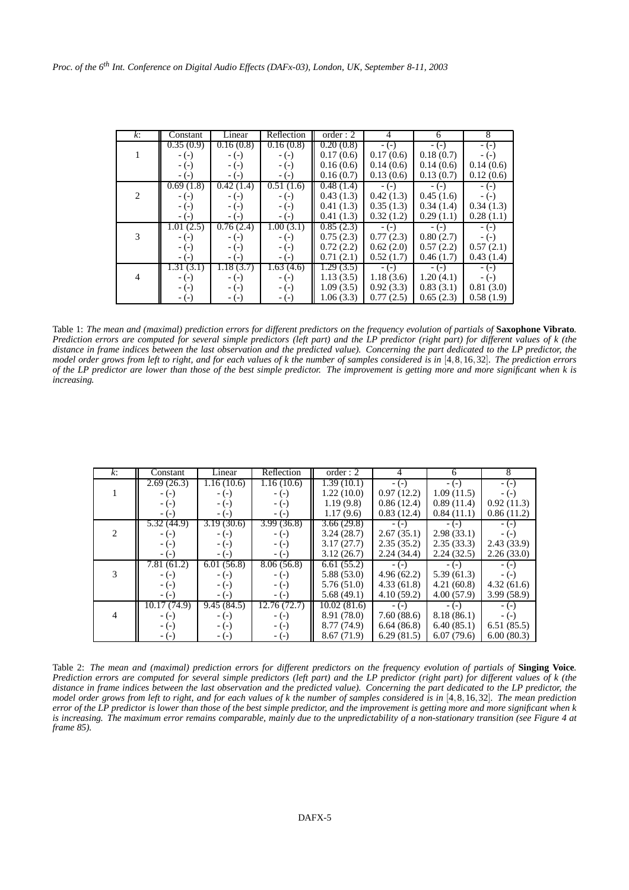| k:             | Constant  | Linear    | Reflection | order: 2                | 4         | 6         | 8         |
|----------------|-----------|-----------|------------|-------------------------|-----------|-----------|-----------|
|                | 0.35(0.9) | 0.16(0.8) | 0.16(0.8)  | 0.20(0.8)               |           |           |           |
|                |           |           |            |                         | $-(-)$    | $-(-)$    | $-(-)$    |
|                | $-(-)$    | $-(-)$    | $-(-)$     | 0.17(0.6)               | 0.17(0.6) | 0.18(0.7) | $-(-)$    |
|                | $-(-)$    | $-(-)$    | $-(-)$     | 0.16(0.6)               | 0.14(0.6) | 0.14(0.6) | 0.14(0.6) |
|                | $-(-)$    | $-(-)$    | $-(-)$     | 0.16(0.7)               | 0.13(0.6) | 0.13(0.7) | 0.12(0.6) |
|                | 0.69(1.8) | 0.42(1.4) | 0.51(1.6)  | $\overline{0.48}$ (1.4) | $-(-)$    | $-(-)$    | $-(-)$    |
| 2              | $-(-)$    | $-(-)$    | $-(-)$     | 0.43(1.3)               | 0.42(1.3) | 0.45(1.6) | $-(-)$    |
|                | $-(-)$    | $-(-)$    | $-(-)$     | 0.41(1.3)               | 0.35(1.3) | 0.34(1.4) | 0.34(1.3) |
|                | $-(-)$    | $-(-)$    | $-(-)$     | 0.41(1.3)               | 0.32(1.2) | 0.29(1.1) | 0.28(1.1) |
|                | 1.01(2.5) | 0.76(2.4) | 1.00(3.1)  | $\overline{0.85}$ (2.3) | $-(-)$    | $-(-)$    | $-(-)$    |
| 3              | $-(-)$    | $-(-)$    | $-(-)$     | 0.75(2.3)               | 0.77(2.3) | 0.80(2.7) | $-(-)$    |
|                | $-(-)$    | $-(-)$    | $-(-)$     | 0.72(2.2)               | 0.62(2.0) | 0.57(2.2) | 0.57(2.1) |
|                | $-(-)$    | $-(-)$    | $-(-)$     | 0.71(2.1)               | 0.52(1.7) | 0.46(1.7) | 0.43(1.4) |
|                | 1.31(3.1) | 1.18(3.7) | 1.63(4.6)  | 1.29(3.5)               | $-(-)$    | $-(-)$    | $-(-)$    |
| $\overline{4}$ | $-(-)$    | $-(-)$    | $-(-)$     | 1.13(3.5)               | 1.18(3.6) | 1.20(4.1) | $-(-)$    |
|                | $-(-)$    | $-(-)$    | $-(-)$     | 1.09(3.5)               | 0.92(3.3) | 0.83(3.1) | 0.81(3.0) |
|                | $-(-)$    | $-(-)$    | $-(-)$     | 1.06(3.3)               | 0.77(2.5) | 0.65(2.3) | 0.58(1.9) |

Table 1: The mean and (maximal) prediction errors for different predictors on the frequency evolution of partials of Saxophone Vibrato. Prediction errors are computed for several simple predictors (left part) and the LP predictor (right part) for different values of k (the distance in frame indices between the last observation and the predicted value). Concerning the part dedicated to the LP predictor, the model order grows from left to right, and for each values of k the number of samples considered is in [4,8,16,32]. The prediction errors of the LP predictor are lower than those of the best simple predictor. The improvement is getting more and more significant when k is *increasing.*

| k:                          | Constant    | Linear     | Reflection   | order: 2    | 4          | 6          | 8          |
|-----------------------------|-------------|------------|--------------|-------------|------------|------------|------------|
|                             | 2.69(26.3)  | 1.16(10.6) | 1.16(10.6)   | 1.39(10.1)  | $-(-)$     | $-(-)$     | $-(-)$     |
|                             | - (-)       | $-(-)$     | $-(-)$       | 1.22(10.0)  | 0.97(12.2) | 1.09(11.5) | $-(-)$     |
|                             | $-(-)$      | $-(-)$     | $-(-)$       | 1.19(9.8)   | 0.86(12.4) | 0.89(11.4) | 0.92(11.3) |
|                             | - (-)       | $-(-)$     | $-(-)$       | 1.17(9.6)   | 0.83(12.4) | 0.84(11.1) | 0.86(11.2) |
|                             | 5.32 (44.9) | 3.19(30.6) | 3.99(36.8)   | 3.66(29.8)  | $-(-)$     | $-(-)$     | $-(-)$     |
| $\mathcal{D}_{\mathcal{A}}$ | $-(-)$      | $-(-)$     | $-(-)$       | 3.24(28.7)  | 2.67(35.1) | 2.98(33.1) | $-(-)$     |
|                             | $-(-)$      | $-(-)$     | $-(-)$       | 3.17(27.7)  | 2.35(35.2) | 2.35(33.3) | 2.43(33.9) |
|                             | $-(-)$      | $-(-)$     | $-(-)$       | 3.12(26.7)  | 2.24(34.4) | 2.24(32.5) | 2.26(33.0) |
|                             | 7.81(61.2)  | 6.01(56.8) | 8.06(56.8)   | 6.61(55.2)  | $-(-)$     | $-(-)$     | $-(-)$     |
| 3                           | - (-)       | $-(-)$     | $-(-)$       | 5.88(53.0)  | 4.96(62.2) | 5.39(61.3) | $-(-)$     |
|                             | $-(-)$      | $-(-)$     | $-(-)$       | 5.76(51.0)  | 4.33(61.8) | 4.21(60.8) | 4.32(61.6) |
|                             | - (-)       | $-(-)$     | $-(-)$       | 5.68(49.1)  | 4.10(59.2) | 4.00(57.9) | 3.99(58.9) |
|                             | 10.17(74.9) | 9.45(84.5) | 12.76 (72.7) | 10.02(81.6) | $-(-)$     | $-(-)$     | $-(-)$     |
| 4                           | $-(-)$      | $-(-)$     | $-(-)$       | 8.91 (78.0) | 7.60(88.6) | 8.18(86.1) | $-(-)$     |
|                             | $-(-)$      | $-(-)$     | $-(-)$       | 8.77 (74.9) | 6.64(86.8) | 6.40(85.1) | 6.51(85.5) |
|                             | - (-)       | $-(-)$     | $-(-)$       | 8.67(71.9)  | 6.29(81.5) | 6.07(79.6) | 6.00(80.3) |

Table 2: The mean and (maximal) prediction errors for different predictors on the frequency evolution of partials of Singing Voice. Prediction errors are computed for several simple predictors (left part) and the LP predictor (right part) for different values of k (the distance in frame indices between the last observation and the predicted value). Concerning the part dedicated to the LP predictor, the model order grows from left to right, and for each values of k the number of samples considered is in [4,8,16,32]. The mean prediction error of the LP predictor is lower than those of the best simple predictor, and the improvement is getting more and more significant when k is increasing. The maximum error remains comparable, mainly due to the unpredictability of a non-stationary transition (see Figure 4 at *frame 85).*